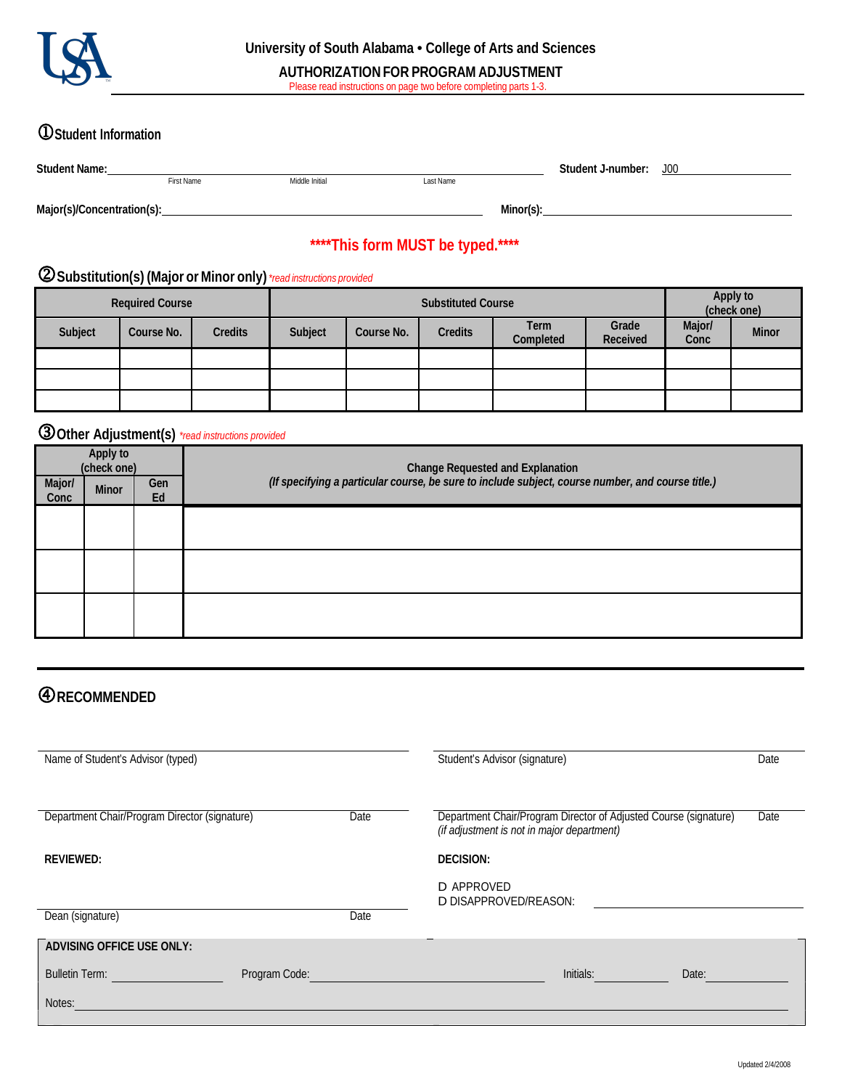

# **Student Information**

| <b>Student Name:</b>       |                   |                | Student J-number: | J <sub>00</sub> |  |
|----------------------------|-------------------|----------------|-------------------|-----------------|--|
|                            | <b>First Name</b> | Middle Initial | Last Name         |                 |  |
|                            |                   |                |                   |                 |  |
| Major(s)/Concentration(s): |                   |                |                   | Minor(s):       |  |

# **\*\*\*\*This form MUST be typed.\*\*\*\***

## **Substitution(s) (Major or Minor only)** *\*read instructions provided*

| <b>Required Course</b> |            |                | <b>Substituted Course</b> |            |                |                          | Apply to<br>(check one) |                |              |
|------------------------|------------|----------------|---------------------------|------------|----------------|--------------------------|-------------------------|----------------|--------------|
| Subject                | Course No. | <b>Credits</b> | Subject                   | Course No. | <b>Credits</b> | <b>Term</b><br>Completed | Grade<br>Received       | Major/<br>Conc | <b>Minor</b> |
|                        |            |                |                           |            |                |                          |                         |                |              |
|                        |            |                |                           |            |                |                          |                         |                |              |
|                        |            |                |                           |            |                |                          |                         |                |              |

## **Other Adjustment(s)** *\*read instructions provided*

| Apply to<br>(check one) |              |           | Change Requested and Explanation<br>(If specifying a particular course, be sure to include subject, course number, and course title.) |  |  |  |  |
|-------------------------|--------------|-----------|---------------------------------------------------------------------------------------------------------------------------------------|--|--|--|--|
| Major/<br>Conc          | <b>Minor</b> | Gen<br>Ed |                                                                                                                                       |  |  |  |  |
|                         |              |           |                                                                                                                                       |  |  |  |  |
|                         |              |           |                                                                                                                                       |  |  |  |  |
|                         |              |           |                                                                                                                                       |  |  |  |  |
|                         |              |           |                                                                                                                                       |  |  |  |  |

# **RECOMMENDED**

| Name of Student's Advisor (typed)             |               |      | Student's Advisor (signature)<br>Date                                                                                  |  |
|-----------------------------------------------|---------------|------|------------------------------------------------------------------------------------------------------------------------|--|
| Department Chair/Program Director (signature) |               | Date | Department Chair/Program Director of Adjusted Course (signature)<br>Date<br>(if adjustment is not in major department) |  |
| <b>REVIEWED:</b>                              |               |      | <b>DECISION:</b>                                                                                                       |  |
|                                               |               |      | D APPROVED<br>D DISAPPROVED/REASON:                                                                                    |  |
| Dean (signature)                              |               | Date |                                                                                                                        |  |
| <b>ADVISING OFFICE USE ONLY:</b>              |               |      |                                                                                                                        |  |
| <b>Bulletin Term:</b>                         | Program Code: |      | Initials:<br>Date:                                                                                                     |  |
| Notes:                                        |               |      |                                                                                                                        |  |